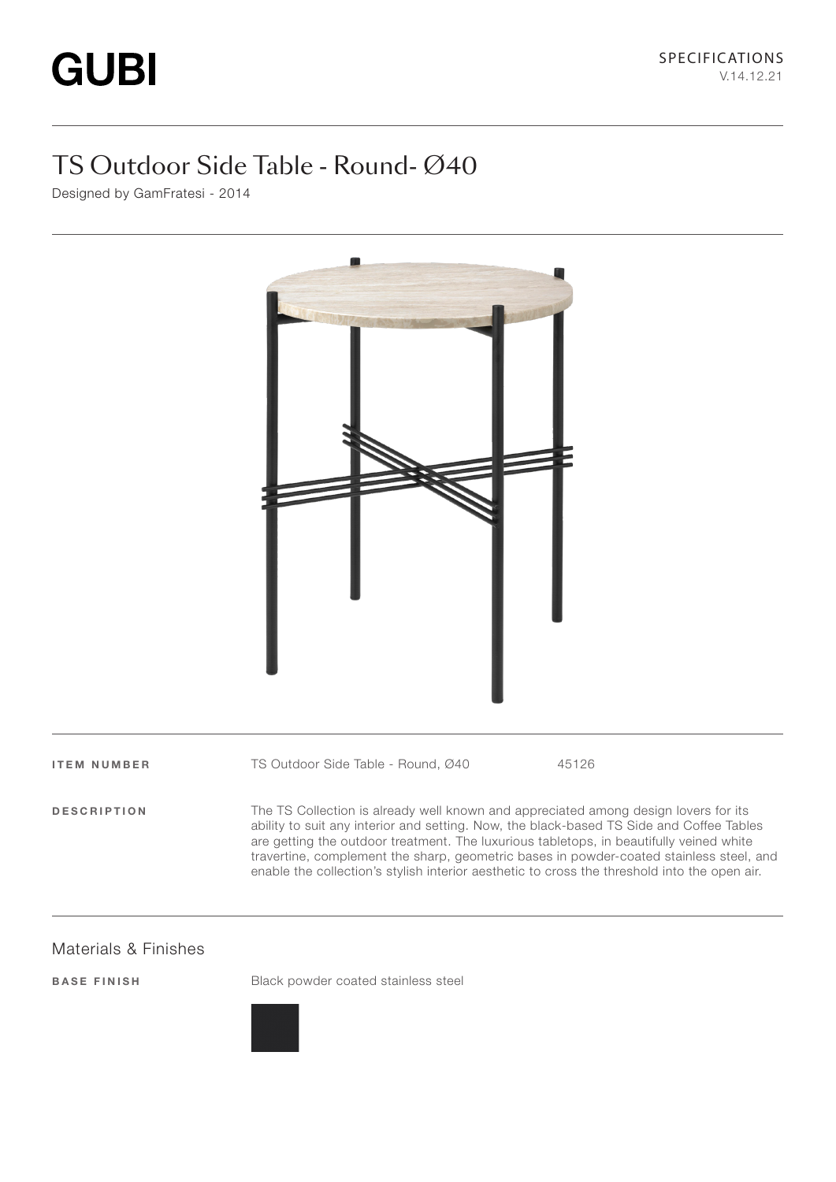# TS Outdoor Side Table - Round- Ø40

Designed by GamFratesi - 2014



ITEM NUMBER TS Outdoor Side Table - Round, Ø40 45126

DESCRIPTION The TS Collection is already well known and appreciated among design lovers for its ability to suit any interior and setting. Now, the black-based TS Side and Coffee Tables are getting the outdoor treatment. The luxurious tabletops, in beautifully veined white travertine, complement the sharp, geometric bases in powder-coated stainless steel, and enable the collection's stylish interior aesthetic to cross the threshold into the open air.

#### Materials & Finishes

BASE FINISH Black powder coated stainless steel

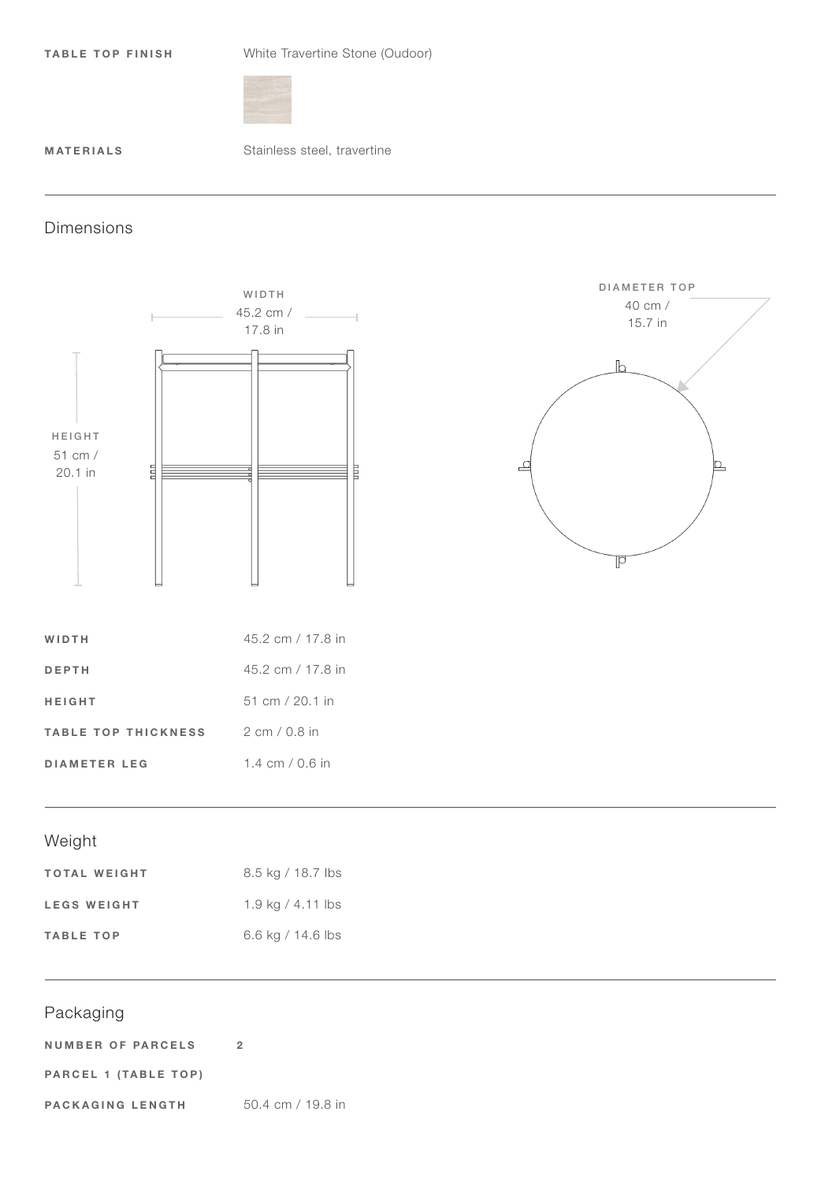TABLE TOP FINISH White Travertine Stone (Oudoor)



MATERIALS Stainless steel, travertine

### Dimensions





| WIDTH                      | 45.2 cm / 17.8 in                 |
|----------------------------|-----------------------------------|
| <b>DEPTH</b>               | 45.2 cm / 17.8 in                 |
| <b>HEIGHT</b>              | $51 \text{ cm} / 20.1 \text{ in}$ |
| <b>TABLE TOP THICKNESS</b> | $2 \text{ cm} / 0.8$ in           |
| <b>DIAMETER LEG</b>        | 1.4 cm / 0.6 in                   |

# Weight

| <b>TOTAL WEIGHT</b> | 8.5 kg / 18.7 lbs   |
|---------------------|---------------------|
| <b>LEGS WEIGHT</b>  | 1.9 kg / 4.11 lbs   |
| <b>TABLE TOP</b>    | 6.6 kg / $14.6$ lbs |

## Packaging

| <b>NUMBER OF PARCELS</b> |                                     |
|--------------------------|-------------------------------------|
| PARCEL 1 (TABLE TOP)     |                                     |
| PACKAGING LENGTH         | $50.4 \text{ cm} / 19.8 \text{ in}$ |